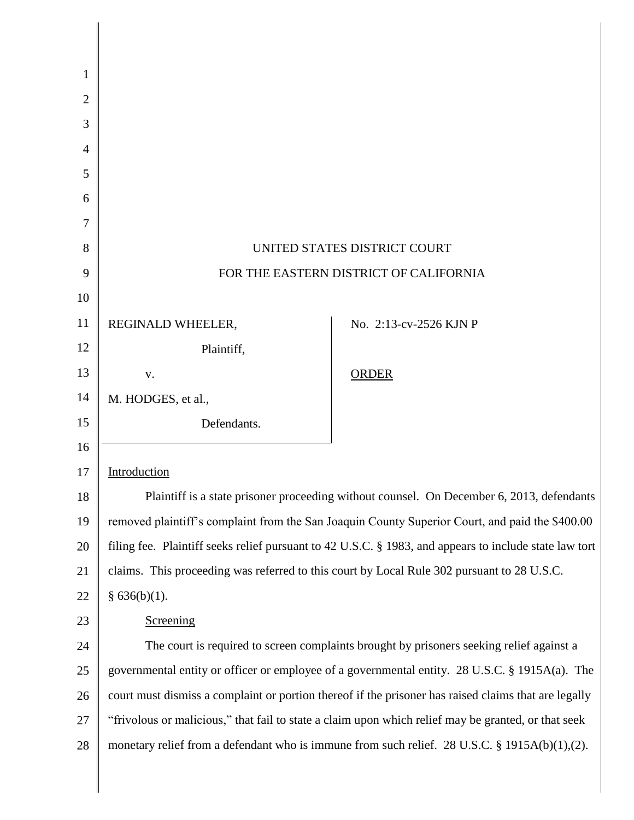| $\overline{2}$ |                                                                                                        |                                                                                               |
|----------------|--------------------------------------------------------------------------------------------------------|-----------------------------------------------------------------------------------------------|
| 3              |                                                                                                        |                                                                                               |
| 4              |                                                                                                        |                                                                                               |
| 5              |                                                                                                        |                                                                                               |
| 6              |                                                                                                        |                                                                                               |
| 7              |                                                                                                        |                                                                                               |
| 8              | UNITED STATES DISTRICT COURT                                                                           |                                                                                               |
| 9              | FOR THE EASTERN DISTRICT OF CALIFORNIA                                                                 |                                                                                               |
| 10             |                                                                                                        |                                                                                               |
| 11             | REGINALD WHEELER,                                                                                      | No. 2:13-cv-2526 KJN P                                                                        |
| 12             | Plaintiff,                                                                                             |                                                                                               |
| 13             | V.                                                                                                     | <b>ORDER</b>                                                                                  |
| 14             | M. HODGES, et al.,                                                                                     |                                                                                               |
| 15             | Defendants.                                                                                            |                                                                                               |
| 16             |                                                                                                        |                                                                                               |
| 17             | Introduction                                                                                           |                                                                                               |
| 18             | Plaintiff is a state prisoner proceeding without counsel. On December 6, 2013, defendants              |                                                                                               |
| 19             | removed plaintiff's complaint from the San Joaquin County Superior Court, and paid the \$400.00        |                                                                                               |
| 20             | filing fee. Plaintiff seeks relief pursuant to 42 U.S.C. § 1983, and appears to include state law tort |                                                                                               |
| 21             | claims. This proceeding was referred to this court by Local Rule 302 pursuant to 28 U.S.C.             |                                                                                               |
| 22             | § $636(b)(1)$ .                                                                                        |                                                                                               |
| 23             | Screening                                                                                              |                                                                                               |
| 24             | The court is required to screen complaints brought by prisoners seeking relief against a               |                                                                                               |
| 25             | governmental entity or officer or employee of a governmental entity. 28 U.S.C. § 1915A(a). The         |                                                                                               |
| 26             | court must dismiss a complaint or portion thereof if the prisoner has raised claims that are legally   |                                                                                               |
| 27             | "frivolous or malicious," that fail to state a claim upon which relief may be granted, or that seek    |                                                                                               |
| 28             |                                                                                                        | monetary relief from a defendant who is immune from such relief. 28 U.S.C. § 1915A(b)(1),(2). |
|                |                                                                                                        |                                                                                               |

I I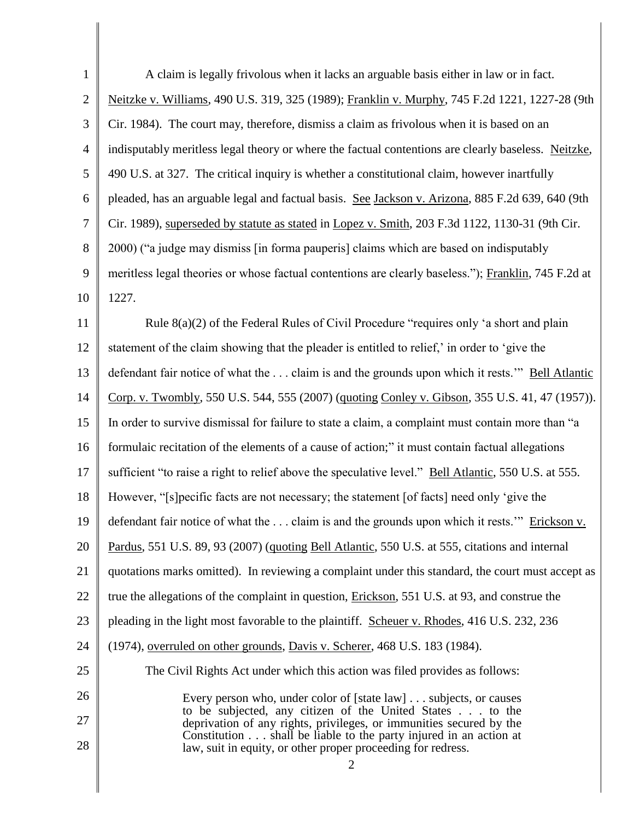| $\mathbf{1}$   | A claim is legally frivolous when it lacks an arguable basis either in law or in fact.                                            |  |
|----------------|-----------------------------------------------------------------------------------------------------------------------------------|--|
| $\overline{2}$ | Neitzke v. Williams, 490 U.S. 319, 325 (1989); Franklin v. Murphy, 745 F.2d 1221, 1227-28 (9th                                    |  |
| 3              | Cir. 1984). The court may, therefore, dismiss a claim as frivolous when it is based on an                                         |  |
| $\overline{4}$ | indisputably meritless legal theory or where the factual contentions are clearly baseless. Neitzke,                               |  |
| 5              | 490 U.S. at 327. The critical inquiry is whether a constitutional claim, however inartfully                                       |  |
| 6              | pleaded, has an arguable legal and factual basis. See Jackson v. Arizona, 885 F.2d 639, 640 (9th                                  |  |
| $\tau$         | Cir. 1989), superseded by statute as stated in Lopez v. Smith, 203 F.3d 1122, 1130-31 (9th Cir.                                   |  |
| 8              | 2000) ("a judge may dismiss [in forma pauperis] claims which are based on indisputably                                            |  |
| 9              | meritless legal theories or whose factual contentions are clearly baseless."); Franklin, 745 F.2d at                              |  |
| 10             | 1227.                                                                                                                             |  |
| 11             | Rule 8(a)(2) of the Federal Rules of Civil Procedure "requires only 'a short and plain                                            |  |
| 12             | statement of the claim showing that the pleader is entitled to relief,' in order to 'give the                                     |  |
| 13             | defendant fair notice of what the  claim is and the grounds upon which it rests." Bell Atlantic                                   |  |
| 14             | Corp. v. Twombly, 550 U.S. 544, 555 (2007) (quoting Conley v. Gibson, 355 U.S. 41, 47 (1957)).                                    |  |
| 15             | In order to survive dismissal for failure to state a claim, a complaint must contain more than "a                                 |  |
| 16             | formulaic recitation of the elements of a cause of action;" it must contain factual allegations                                   |  |
| 17             | sufficient "to raise a right to relief above the speculative level." Bell Atlantic, 550 U.S. at 555.                              |  |
| 18             | However, "[s] pecific facts are not necessary; the statement [of facts] need only 'give the                                       |  |
| 19             | defendant fair notice of what the  claim is and the grounds upon which it rests." Erickson v.                                     |  |
| 20             | Pardus, 551 U.S. 89, 93 (2007) (quoting Bell Atlantic, 550 U.S. at 555, citations and internal                                    |  |
| 21             | quotations marks omitted). In reviewing a complaint under this standard, the court must accept as                                 |  |
| 22             | true the allegations of the complaint in question, Erickson, 551 U.S. at 93, and construe the                                     |  |
| 23             | pleading in the light most favorable to the plaintiff. Scheuer v. Rhodes, 416 U.S. 232, 236                                       |  |
| 24             | (1974), overruled on other grounds, Davis v. Scherer, 468 U.S. 183 (1984).                                                        |  |
| 25             | The Civil Rights Act under which this action was filed provides as follows:                                                       |  |
| 26             | Every person who, under color of [state law] subjects, or causes                                                                  |  |
| 27             | to be subjected, any citizen of the United States to the<br>deprivation of any rights, privileges, or immunities secured by the   |  |
| 28             | Constitution shall be liable to the party injured in an action at<br>law, suit in equity, or other proper proceeding for redress. |  |
|                | $\overline{2}$                                                                                                                    |  |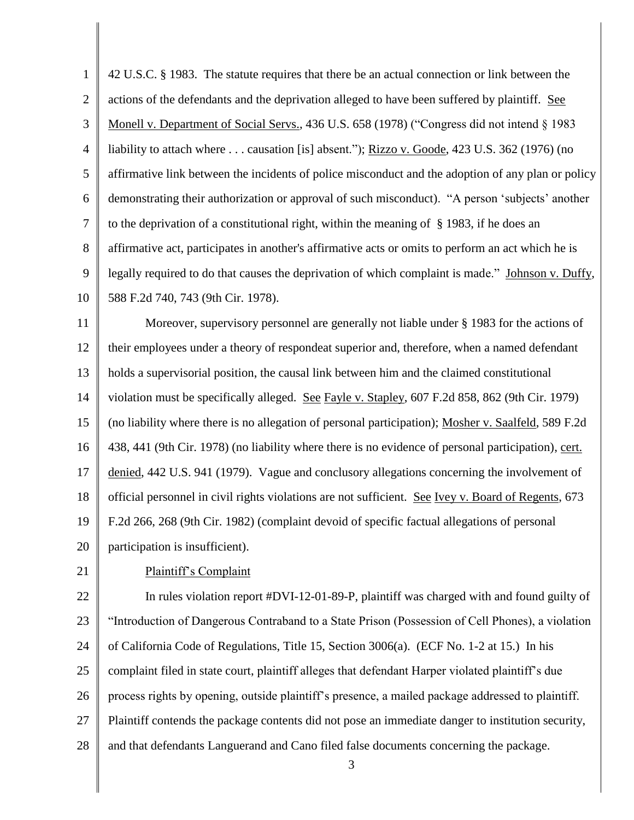1 2 3 4 5 6 7 8 9 10 42 U.S.C. § 1983. The statute requires that there be an actual connection or link between the actions of the defendants and the deprivation alleged to have been suffered by plaintiff. See Monell v. Department of Social Servs., 436 U.S. 658 (1978) ("Congress did not intend § 1983 liability to attach where . . . causation [is] absent."); Rizzo v. Goode, 423 U.S. 362 (1976) (no affirmative link between the incidents of police misconduct and the adoption of any plan or policy demonstrating their authorization or approval of such misconduct). "A person 'subjects' another to the deprivation of a constitutional right, within the meaning of § 1983, if he does an affirmative act, participates in another's affirmative acts or omits to perform an act which he is legally required to do that causes the deprivation of which complaint is made." Johnson v. Duffy, 588 F.2d 740, 743 (9th Cir. 1978).

11 12 13 14 15 16 17 18 19 20 Moreover, supervisory personnel are generally not liable under § 1983 for the actions of their employees under a theory of respondeat superior and, therefore, when a named defendant holds a supervisorial position, the causal link between him and the claimed constitutional violation must be specifically alleged. See Fayle v. Stapley, 607 F.2d 858, 862 (9th Cir. 1979) (no liability where there is no allegation of personal participation); Mosher v. Saalfeld, 589 F.2d 438, 441 (9th Cir. 1978) (no liability where there is no evidence of personal participation), cert. denied, 442 U.S. 941 (1979). Vague and conclusory allegations concerning the involvement of official personnel in civil rights violations are not sufficient. See Ivey v. Board of Regents, 673 F.2d 266, 268 (9th Cir. 1982) (complaint devoid of specific factual allegations of personal participation is insufficient).

# 21

### Plaintiff"s Complaint

22 23 24 25 26 27 28 In rules violation report #DVI-12-01-89-P, plaintiff was charged with and found guilty of "Introduction of Dangerous Contraband to a State Prison (Possession of Cell Phones), a violation of California Code of Regulations, Title 15, Section 3006(a). (ECF No. 1-2 at 15.) In his complaint filed in state court, plaintiff alleges that defendant Harper violated plaintiff"s due process rights by opening, outside plaintiff"s presence, a mailed package addressed to plaintiff. Plaintiff contends the package contents did not pose an immediate danger to institution security, and that defendants Languerand and Cano filed false documents concerning the package.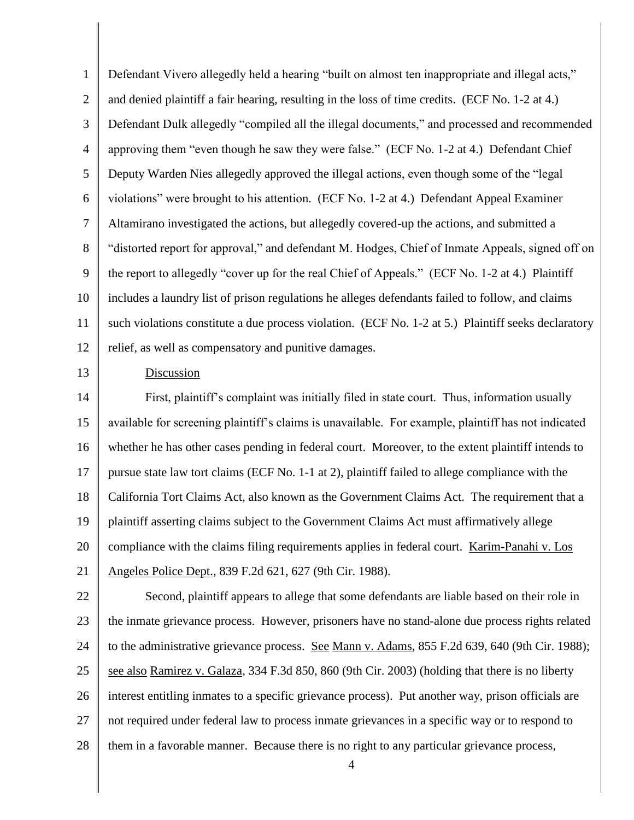1 2 3 4 5 6 7 8 9 10 11 12 Defendant Vivero allegedly held a hearing "built on almost ten inappropriate and illegal acts," and denied plaintiff a fair hearing, resulting in the loss of time credits. (ECF No. 1-2 at 4.) Defendant Dulk allegedly "compiled all the illegal documents," and processed and recommended approving them "even though he saw they were false." (ECF No. 1-2 at 4.) Defendant Chief Deputy Warden Nies allegedly approved the illegal actions, even though some of the "legal violations" were brought to his attention. (ECF No. 1-2 at 4.) Defendant Appeal Examiner Altamirano investigated the actions, but allegedly covered-up the actions, and submitted a "distorted report for approval," and defendant M. Hodges, Chief of Inmate Appeals, signed off on the report to allegedly "cover up for the real Chief of Appeals." (ECF No. 1-2 at 4.) Plaintiff includes a laundry list of prison regulations he alleges defendants failed to follow, and claims such violations constitute a due process violation. (ECF No. 1-2 at 5.) Plaintiff seeks declaratory relief, as well as compensatory and punitive damages.

#### Discussion

13

14 15 16 17 18 19 20 21 First, plaintiff"s complaint was initially filed in state court. Thus, information usually available for screening plaintiff"s claims is unavailable. For example, plaintiff has not indicated whether he has other cases pending in federal court. Moreover, to the extent plaintiff intends to pursue state law tort claims (ECF No. 1-1 at 2), plaintiff failed to allege compliance with the California Tort Claims Act, also known as the Government Claims Act. The requirement that a plaintiff asserting claims subject to the Government Claims Act must affirmatively allege compliance with the claims filing requirements applies in federal court. Karim-Panahi v. Los Angeles Police Dept., 839 F.2d 621, 627 (9th Cir. 1988).

22 23 24 25 26 27 28 Second, plaintiff appears to allege that some defendants are liable based on their role in the inmate grievance process. However, prisoners have no stand-alone due process rights related to the administrative grievance process. See Mann v. Adams, 855 F.2d 639, 640 (9th Cir. 1988); see also Ramirez v. Galaza, 334 F.3d 850, 860 (9th Cir. 2003) (holding that there is no liberty interest entitling inmates to a specific grievance process). Put another way, prison officials are not required under federal law to process inmate grievances in a specific way or to respond to them in a favorable manner. Because there is no right to any particular grievance process,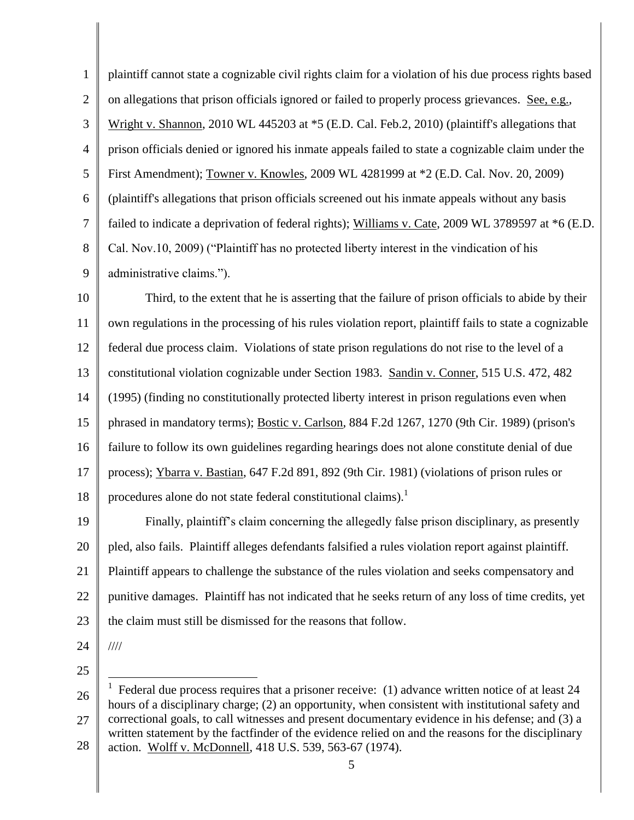1 2 3 4 5 6 7 8 9 10 11 12 13 14 15 16 17 18 19 plaintiff cannot state a cognizable civil rights claim for a violation of his due process rights based on allegations that prison officials ignored or failed to properly process grievances. See, e.g., Wright v. Shannon, 2010 WL 445203 at \*5 (E.D. Cal. Feb.2, 2010) (plaintiff's allegations that prison officials denied or ignored his inmate appeals failed to state a cognizable claim under the First Amendment); Towner v. Knowles, 2009 WL 4281999 at \*2 (E.D. Cal. Nov. 20, 2009) (plaintiff's allegations that prison officials screened out his inmate appeals without any basis failed to indicate a deprivation of federal rights); Williams v. Cate, 2009 WL 3789597 at \*6 (E.D. Cal. Nov.10, 2009) ("Plaintiff has no protected liberty interest in the vindication of his administrative claims."). Third, to the extent that he is asserting that the failure of prison officials to abide by their own regulations in the processing of his rules violation report, plaintiff fails to state a cognizable federal due process claim. Violations of state prison regulations do not rise to the level of a constitutional violation cognizable under Section 1983. Sandin v. Conner, 515 U.S. 472, 482 (1995) (finding no constitutionally protected liberty interest in prison regulations even when phrased in mandatory terms); Bostic v. Carlson, 884 F.2d 1267, 1270 (9th Cir. 1989) (prison's failure to follow its own guidelines regarding hearings does not alone constitute denial of due process); Ybarra v. Bastian, 647 F.2d 891, 892 (9th Cir. 1981) (violations of prison rules or procedures alone do not state federal constitutional claims).<sup>1</sup> Finally, plaintiff"s claim concerning the allegedly false prison disciplinary, as presently

20 21 22 23 pled, also fails. Plaintiff alleges defendants falsified a rules violation report against plaintiff. Plaintiff appears to challenge the substance of the rules violation and seeks compensatory and punitive damages. Plaintiff has not indicated that he seeks return of any loss of time credits, yet the claim must still be dismissed for the reasons that follow.

24

////

25

5

<sup>26</sup> 27 28  $\overline{\phantom{a}}$ 1 Federal due process requires that a prisoner receive: (1) advance written notice of at least 24 hours of a disciplinary charge; (2) an opportunity, when consistent with institutional safety and correctional goals, to call witnesses and present documentary evidence in his defense; and (3) a written statement by the factfinder of the evidence relied on and the reasons for the disciplinary action. Wolff v. McDonnell, 418 U.S. 539, 563-67 (1974).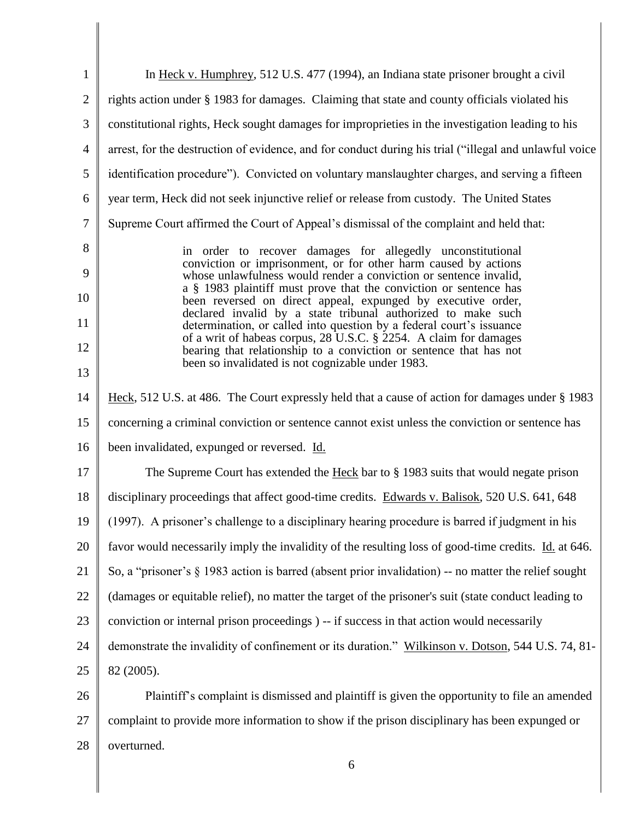| 1              | In Heck v. Humphrey, 512 U.S. 477 (1994), an Indiana state prisoner brought a civil                                                                                                                                                                                       |  |  |
|----------------|---------------------------------------------------------------------------------------------------------------------------------------------------------------------------------------------------------------------------------------------------------------------------|--|--|
| $\overline{2}$ | rights action under § 1983 for damages. Claiming that state and county officials violated his                                                                                                                                                                             |  |  |
| 3              | constitutional rights, Heck sought damages for improprieties in the investigation leading to his                                                                                                                                                                          |  |  |
| $\overline{4}$ | arrest, for the destruction of evidence, and for conduct during his trial ("illegal and unlawful voice                                                                                                                                                                    |  |  |
| 5              | identification procedure"). Convicted on voluntary manslaughter charges, and serving a fifteen                                                                                                                                                                            |  |  |
| 6              | year term, Heck did not seek injunctive relief or release from custody. The United States                                                                                                                                                                                 |  |  |
| $\overline{7}$ | Supreme Court affirmed the Court of Appeal's dismissal of the complaint and held that:                                                                                                                                                                                    |  |  |
| 8              | in order to recover damages for allegedly unconstitutional                                                                                                                                                                                                                |  |  |
| 9              | conviction or imprisonment, or for other harm caused by actions<br>whose unlawfulness would render a conviction or sentence invalid,<br>a § 1983 plaintiff must prove that the conviction or sentence has<br>been reversed on direct appeal, expunged by executive order, |  |  |
| 10             |                                                                                                                                                                                                                                                                           |  |  |
| 11             | declared invalid by a state tribunal authorized to make such<br>determination, or called into question by a federal court's issuance                                                                                                                                      |  |  |
| 12             | of a writ of habeas corpus, 28 U.S.C. § 2254. A claim for damages<br>bearing that relationship to a conviction or sentence that has not                                                                                                                                   |  |  |
| 13             | been so invalidated is not cognizable under 1983.                                                                                                                                                                                                                         |  |  |
| 14             | Heck, 512 U.S. at 486. The Court expressly held that a cause of action for damages under § 1983                                                                                                                                                                           |  |  |
| 15             | concerning a criminal conviction or sentence cannot exist unless the conviction or sentence has                                                                                                                                                                           |  |  |
| 16             | been invalidated, expunged or reversed. Id.                                                                                                                                                                                                                               |  |  |
| 17             | The Supreme Court has extended the Heck bar to § 1983 suits that would negate prison                                                                                                                                                                                      |  |  |
| 18             | disciplinary proceedings that affect good-time credits. Edwards v. Balisok, 520 U.S. 641, 648                                                                                                                                                                             |  |  |
| 19             | (1997). A prisoner's challenge to a disciplinary hearing procedure is barred if judgment in his                                                                                                                                                                           |  |  |
| 20             | favor would necessarily imply the invalidity of the resulting loss of good-time credits. Id. at 646.                                                                                                                                                                      |  |  |
| 21             | So, a "prisoner's § 1983 action is barred (absent prior invalidation) -- no matter the relief sought                                                                                                                                                                      |  |  |
| 22             | (damages or equitable relief), no matter the target of the prisoner's suit (state conduct leading to                                                                                                                                                                      |  |  |
| 23             | conviction or internal prison proceedings) -- if success in that action would necessarily                                                                                                                                                                                 |  |  |
| 24             | demonstrate the invalidity of confinement or its duration." Wilkinson v. Dotson, 544 U.S. 74, 81-                                                                                                                                                                         |  |  |
| 25             | 82 (2005).                                                                                                                                                                                                                                                                |  |  |
| 26             | Plaintiff's complaint is dismissed and plaintiff is given the opportunity to file an amended                                                                                                                                                                              |  |  |
| 27             | complaint to provide more information to show if the prison disciplinary has been expunged or                                                                                                                                                                             |  |  |
| 28             | overturned.                                                                                                                                                                                                                                                               |  |  |
|                | 6                                                                                                                                                                                                                                                                         |  |  |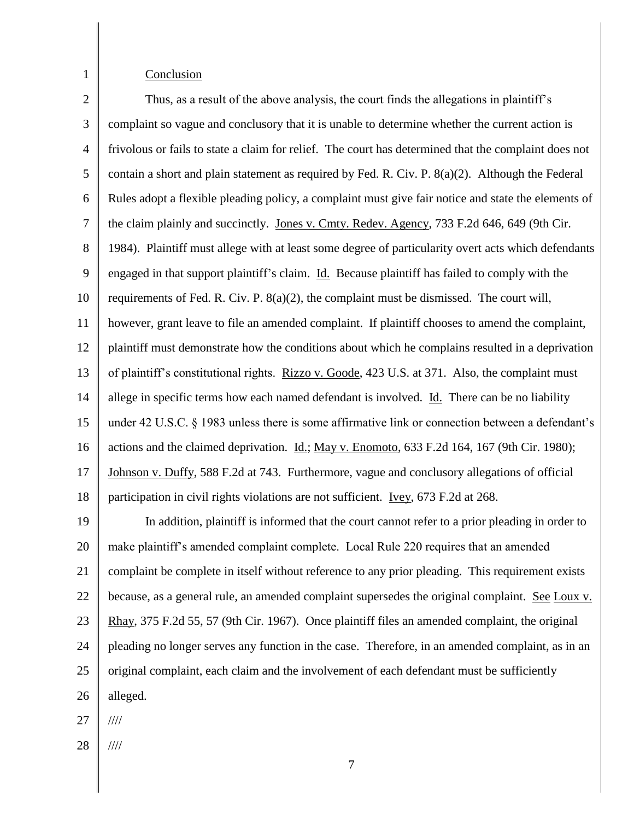# Conclusion

1

2 3 4 5 6 7 8 9 10 11 12 13 14 15 16 17 18 Thus, as a result of the above analysis, the court finds the allegations in plaintiff"s complaint so vague and conclusory that it is unable to determine whether the current action is frivolous or fails to state a claim for relief. The court has determined that the complaint does not contain a short and plain statement as required by Fed. R. Civ. P. 8(a)(2). Although the Federal Rules adopt a flexible pleading policy, a complaint must give fair notice and state the elements of the claim plainly and succinctly. Jones v. Cmty. Redev. Agency, 733 F.2d 646, 649 (9th Cir. 1984). Plaintiff must allege with at least some degree of particularity overt acts which defendants engaged in that support plaintiff"s claim. Id. Because plaintiff has failed to comply with the requirements of Fed. R. Civ. P.  $8(a)(2)$ , the complaint must be dismissed. The court will, however, grant leave to file an amended complaint. If plaintiff chooses to amend the complaint, plaintiff must demonstrate how the conditions about which he complains resulted in a deprivation of plaintiff"s constitutional rights. Rizzo v. Goode, 423 U.S. at 371. Also, the complaint must allege in specific terms how each named defendant is involved. Id. There can be no liability under 42 U.S.C. § 1983 unless there is some affirmative link or connection between a defendant's actions and the claimed deprivation. Id.; May v. Enomoto, 633 F.2d 164, 167 (9th Cir. 1980); Johnson v. Duffy, 588 F.2d at 743. Furthermore, vague and conclusory allegations of official participation in civil rights violations are not sufficient. Ivey, 673 F.2d at 268.

19 20 21 22 23 24 25 26 In addition, plaintiff is informed that the court cannot refer to a prior pleading in order to make plaintiff"s amended complaint complete. Local Rule 220 requires that an amended complaint be complete in itself without reference to any prior pleading. This requirement exists because, as a general rule, an amended complaint supersedes the original complaint. See Loux v. Rhay, 375 F.2d 55, 57 (9th Cir. 1967). Once plaintiff files an amended complaint, the original pleading no longer serves any function in the case. Therefore, in an amended complaint, as in an original complaint, each claim and the involvement of each defendant must be sufficiently alleged.

27 ////

28 ////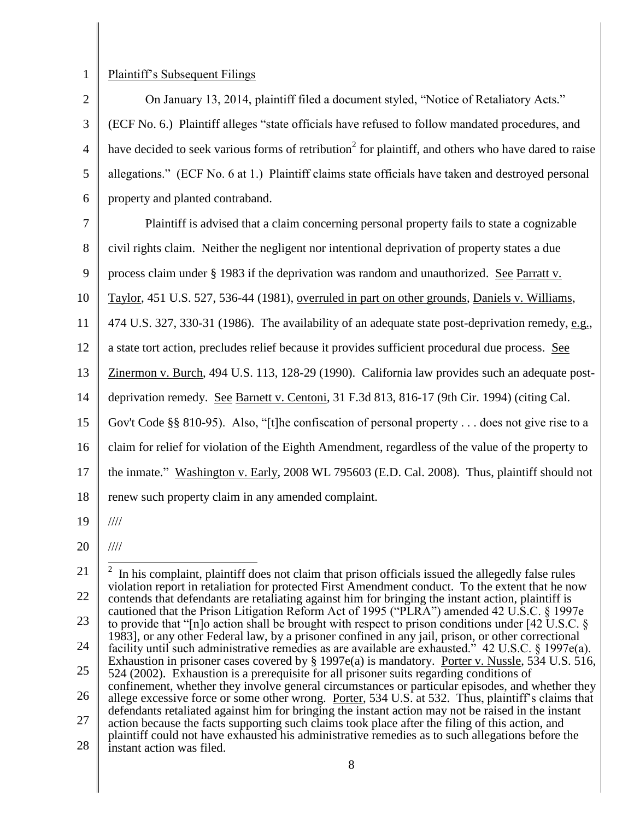1

### Plaintiff"s Subsequent Filings

2 3 4 5 6 On January 13, 2014, plaintiff filed a document styled, "Notice of Retaliatory Acts." (ECF No. 6.) Plaintiff alleges "state officials have refused to follow mandated procedures, and have decided to seek various forms of retribution<sup>2</sup> for plaintiff, and others who have dared to raise allegations." (ECF No. 6 at 1.) Plaintiff claims state officials have taken and destroyed personal property and planted contraband.

7 Plaintiff is advised that a claim concerning personal property fails to state a cognizable

8 civil rights claim. Neither the negligent nor intentional deprivation of property states a due

9 process claim under § 1983 if the deprivation was random and unauthorized. See Parratt v.

10 Taylor, 451 U.S. 527, 536-44 (1981), overruled in part on other grounds, Daniels v. Williams,

11 474 U.S. 327, 330-31 (1986). The availability of an adequate state post-deprivation remedy, e.g.,

12 a state tort action, precludes relief because it provides sufficient procedural due process. See

13 Zinermon v. Burch, 494 U.S. 113, 128-29 (1990). California law provides such an adequate post-

14 deprivation remedy. See Barnett v. Centoni, 31 F.3d 813, 816-17 (9th Cir. 1994) (citing Cal.

15 Gov't Code §§ 810-95). Also, "[t]he confiscation of personal property . . . does not give rise to a

16 claim for relief for violation of the Eighth Amendment, regardless of the value of the property to

17 the inmate." Washington v. Early, 2008 WL 795603 (E.D. Cal. 2008). Thus, plaintiff should not

18 renew such property claim in any amended complaint.

19 ////

////

20

25 524 (2002). Exhaustion is a prerequisite for all prisoner suits regarding conditions of

26 27 confinement, whether they involve general circumstances or particular episodes, and whether they allege excessive force or some other wrong. Porter, 534 U.S. at 532. Thus, plaintiff"s claims that defendants retaliated against him for bringing the instant action may not be raised in the instant action because the facts supporting such claims took place after the filing of this action, and plaintiff could not have exhausted his administrative remedies as to such allegations before the

28 instant action was filed.

<sup>21</sup> 22 23 24 <sup>2</sup> In his complaint, plaintiff does not claim that prison officials issued the allegedly false rules violation report in retaliation for protected First Amendment conduct. To the extent that he now contends that defendants are retaliating against him for bringing the instant action, plaintiff is cautioned that the Prison Litigation Reform Act of 1995 ("PLRA") amended 42 U.S.C. § 1997e to provide that "[n]o action shall be brought with respect to prison conditions under [42 U.S.C. § 1983], or any other Federal law, by a prisoner confined in any jail, prison, or other correctional facility until such administrative remedies as are available are exhausted." 42 U.S.C. § 1997e(a). Exhaustion in prisoner cases covered by § 1997e(a) is mandatory. Porter v. Nussle, 534 U.S. 516,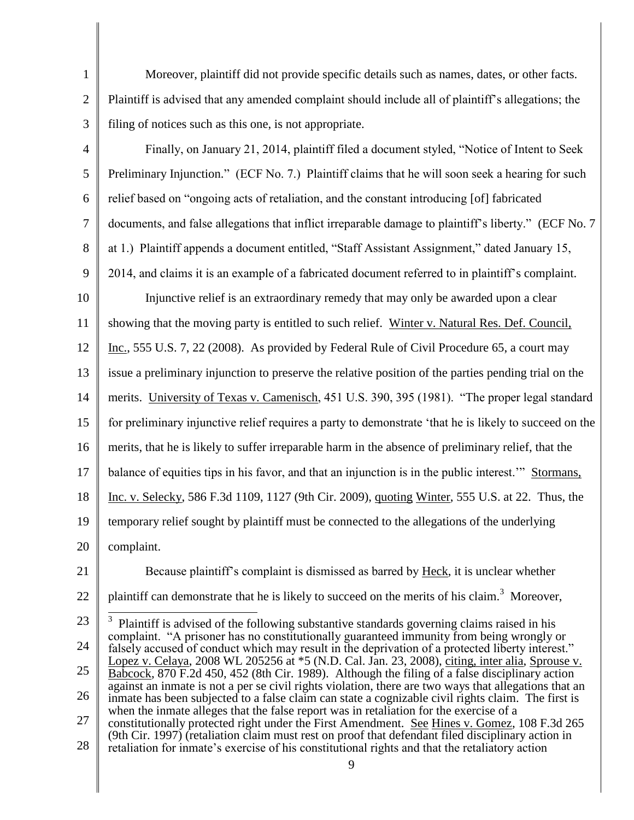Moreover, plaintiff did not provide specific details such as names, dates, or other facts. Plaintiff is advised that any amended complaint should include all of plaintiff"s allegations; the filing of notices such as this one, is not appropriate.

1

2

3

- 4 5 6 7 8 9 10 11 12 13 14 15 16 17 18 19 20 21 22 23 24 25 26 27 Finally, on January 21, 2014, plaintiff filed a document styled, "Notice of Intent to Seek Preliminary Injunction." (ECF No. 7.) Plaintiff claims that he will soon seek a hearing for such relief based on "ongoing acts of retaliation, and the constant introducing [of] fabricated documents, and false allegations that inflict irreparable damage to plaintiff's liberty." (ECF No. 7) at 1.) Plaintiff appends a document entitled, "Staff Assistant Assignment," dated January 15, 2014, and claims it is an example of a fabricated document referred to in plaintiff"s complaint. Injunctive relief is an extraordinary remedy that may only be awarded upon a clear showing that the moving party is entitled to such relief. Winter v. Natural Res. Def. Council, Inc., 555 U.S. 7, 22 (2008). As provided by Federal Rule of Civil Procedure 65, a court may issue a preliminary injunction to preserve the relative position of the parties pending trial on the merits. University of Texas v. Camenisch, 451 U.S. 390, 395 (1981). "The proper legal standard for preliminary injunctive relief requires a party to demonstrate "that he is likely to succeed on the merits, that he is likely to suffer irreparable harm in the absence of preliminary relief, that the balance of equities tips in his favor, and that an injunction is in the public interest."" Stormans, Inc. v. Selecky, 586 F.3d 1109, 1127 (9th Cir. 2009), quoting Winter, 555 U.S. at 22. Thus, the temporary relief sought by plaintiff must be connected to the allegations of the underlying complaint. Because plaintiff"s complaint is dismissed as barred by Heck, it is unclear whether plaintiff can demonstrate that he is likely to succeed on the merits of his claim.<sup>3</sup> Moreover, <sup>3</sup> Plaintiff is advised of the following substantive standards governing claims raised in his complaint. "A prisoner has no constitutionally guaranteed immunity from being wrongly or falsely accused of conduct which may result in the deprivation of a protected liberty interest." Lopez v. Celaya, 2008 WL 205256 at \*5 (N.D. Cal. Jan. 23, 2008), citing, inter alia, Sprouse v. Babcock, 870 F.2d 450, 452 (8th Cir. 1989). Although the filing of a false disciplinary action against an inmate is not a per se civil rights violation, there are two ways that allegations that an inmate has been subjected to a false claim can state a cognizable civil rights claim. The first is when the inmate alleges that the false report was in retaliation for the exercise of a constitutionally protected right under the First Amendment. See Hines v. Gomez, 108 F.3d 265
- 28 (9th Cir. 1997) (retaliation claim must rest on proof that defendant filed disciplinary action in retaliation for inmate"s exercise of his constitutional rights and that the retaliatory action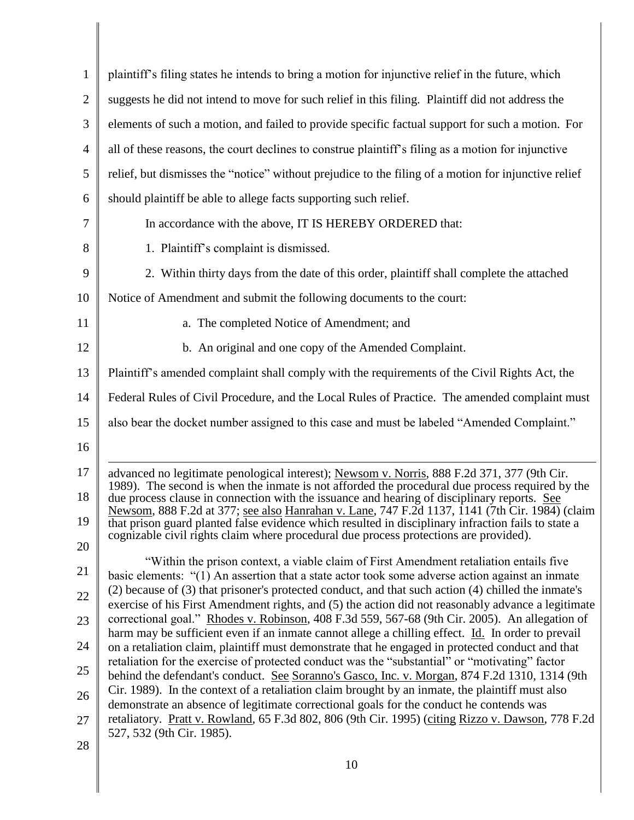| $\mathbf{1}$   | plaintiff's filing states he intends to bring a motion for injunctive relief in the future, which                                                                                                         |  |
|----------------|-----------------------------------------------------------------------------------------------------------------------------------------------------------------------------------------------------------|--|
| $\overline{2}$ | suggests he did not intend to move for such relief in this filing. Plaintiff did not address the                                                                                                          |  |
| 3              | elements of such a motion, and failed to provide specific factual support for such a motion. For                                                                                                          |  |
| $\overline{4}$ | all of these reasons, the court declines to construe plaintiff's filing as a motion for injunctive                                                                                                        |  |
| 5              | relief, but dismisses the "notice" without prejudice to the filing of a motion for injunctive relief                                                                                                      |  |
| 6              | should plaintiff be able to allege facts supporting such relief.                                                                                                                                          |  |
| 7              | In accordance with the above, IT IS HEREBY ORDERED that:                                                                                                                                                  |  |
| 8              | 1. Plaintiff's complaint is dismissed.                                                                                                                                                                    |  |
| 9              | 2. Within thirty days from the date of this order, plaintiff shall complete the attached                                                                                                                  |  |
| 10             | Notice of Amendment and submit the following documents to the court:                                                                                                                                      |  |
| 11             | a. The completed Notice of Amendment; and                                                                                                                                                                 |  |
| 12             | b. An original and one copy of the Amended Complaint.                                                                                                                                                     |  |
| 13             | Plaintiff's amended complaint shall comply with the requirements of the Civil Rights Act, the                                                                                                             |  |
| 14             | Federal Rules of Civil Procedure, and the Local Rules of Practice. The amended complaint must                                                                                                             |  |
| 15             | also bear the docket number assigned to this case and must be labeled "Amended Complaint."                                                                                                                |  |
| 16             |                                                                                                                                                                                                           |  |
| 17             | advanced no legitimate penological interest); Newsom v. Norris, 888 F.2d 371, 377 (9th Cir.<br>1989). The second is when the inmate is not afforded the procedural due process required by the            |  |
| 18             | due process clause in connection with the issuance and hearing of disciplinary reports. See<br>Newsom, 888 F.2d at 377; see also Hanrahan v. Lane, 747 F.2d 1137, 1141 (7th Cir. 1984) (claim             |  |
| 19             | that prison guard planted false evidence which resulted in disciplinary infraction fails to state a<br>cognizable civil rights claim where procedural due process protections are provided).              |  |
| 20             | "Within the prison context, a viable claim of First Amendment retaliation entails five                                                                                                                    |  |
| 21             | basic elements: "(1) An assertion that a state actor took some adverse action against an inmate                                                                                                           |  |
| 22             | (2) because of (3) that prisoner's protected conduct, and that such action (4) chilled the inmate's<br>exercise of his First Amendment rights, and (5) the action did not reasonably advance a legitimate |  |
| 23             | correctional goal." Rhodes v. Robinson, 408 F.3d 559, 567-68 (9th Cir. 2005). An allegation of<br>harm may be sufficient even if an inmate cannot allege a chilling effect. Id. In order to prevail       |  |
| 24             | on a retaliation claim, plaintiff must demonstrate that he engaged in protected conduct and that<br>retaliation for the exercise of protected conduct was the "substantial" or "motivating" factor        |  |
| 25             | behind the defendant's conduct. See Soranno's Gasco, Inc. v. Morgan, 874 F.2d 1310, 1314 (9th                                                                                                             |  |
| 26             | Cir. 1989). In the context of a retaliation claim brought by an inmate, the plaintiff must also<br>demonstrate an absence of legitimate correctional goals for the conduct he contends was                |  |
| 27             | retaliatory. Pratt v. Rowland, 65 F.3d 802, 806 (9th Cir. 1995) (citing Rizzo v. Dawson, 778 F.2d<br>527, 532 (9th Cir. 1985).                                                                            |  |
| 28             |                                                                                                                                                                                                           |  |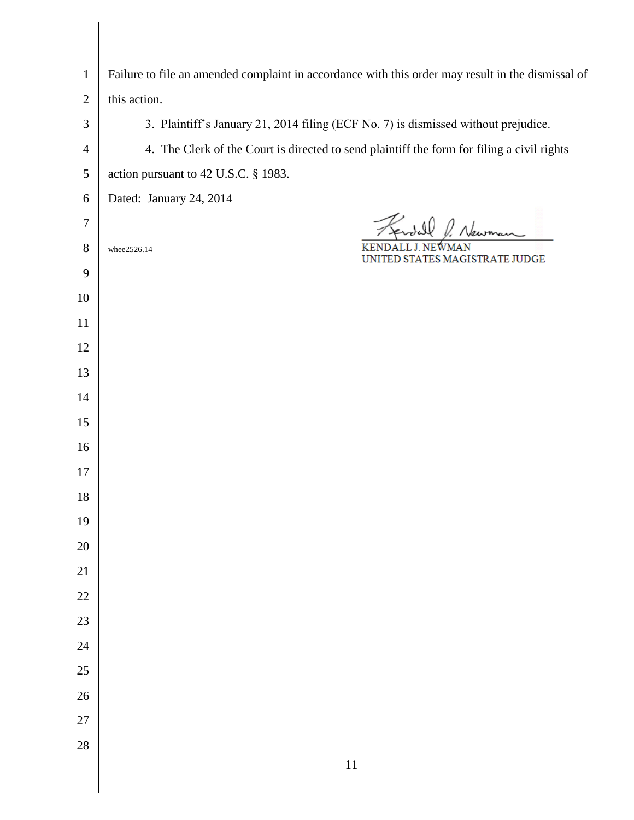| $\mathbf{1}$   | Failure to file an amended complaint in accordance with this order may result in the dismissal of |  |
|----------------|---------------------------------------------------------------------------------------------------|--|
| $\mathbf{2}$   | this action.                                                                                      |  |
| $\mathfrak{Z}$ | 3. Plaintiff's January 21, 2014 filing (ECF No. 7) is dismissed without prejudice.                |  |
| $\overline{4}$ | 4. The Clerk of the Court is directed to send plaintiff the form for filing a civil rights        |  |
| $\mathfrak s$  | action pursuant to 42 U.S.C. § 1983.                                                              |  |
| 6              | Dated: January 24, 2014                                                                           |  |
| 7              | Fendall                                                                                           |  |
| $8\,$          | whee2526.14<br>UNITED STATES MAGISTRATE JUDGE                                                     |  |
| 9              |                                                                                                   |  |
| 10             |                                                                                                   |  |
| 11             |                                                                                                   |  |
| 12             |                                                                                                   |  |
| 13             |                                                                                                   |  |
| 14             |                                                                                                   |  |
| 15             |                                                                                                   |  |
| 16             |                                                                                                   |  |
| 17             |                                                                                                   |  |
| 18             |                                                                                                   |  |
| 19             |                                                                                                   |  |
| 20             |                                                                                                   |  |
| $21\,$         |                                                                                                   |  |
| $22\,$         |                                                                                                   |  |
| 23             |                                                                                                   |  |
| 24             |                                                                                                   |  |
| $25\,$         |                                                                                                   |  |
| $26\,$         |                                                                                                   |  |
| $27\,$         |                                                                                                   |  |
| 28             |                                                                                                   |  |
|                | $11\,$                                                                                            |  |

 $\parallel$